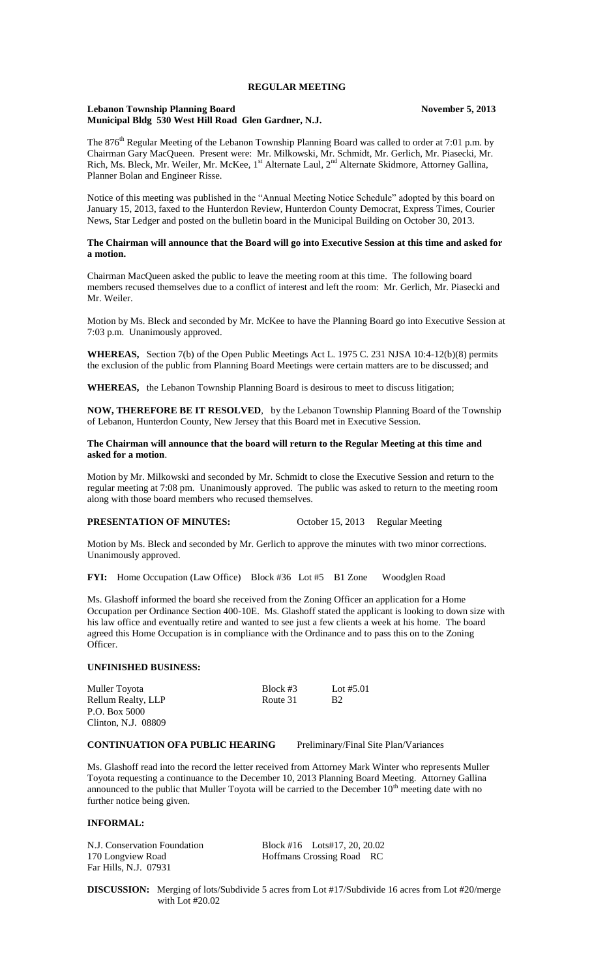# **REGULAR MEETING**

## **Lebanon Township Planning Board November 5, 2013 Municipal Bldg 530 West Hill Road Glen Gardner, N.J.**

The 876<sup>th</sup> Regular Meeting of the Lebanon Township Planning Board was called to order at 7:01 p.m. by Chairman Gary MacQueen. Present were: Mr. Milkowski, Mr. Schmidt, Mr. Gerlich, Mr. Piasecki, Mr. Rich, Ms. Bleck, Mr. Weiler, Mr. McKee, 1<sup>st</sup> Alternate Laul, 2<sup>nd</sup> Alternate Skidmore, Attorney Gallina, Planner Bolan and Engineer Risse.

Notice of this meeting was published in the "Annual Meeting Notice Schedule" adopted by this board on January 15, 2013, faxed to the Hunterdon Review, Hunterdon County Democrat, Express Times, Courier News, Star Ledger and posted on the bulletin board in the Municipal Building on October 30, 2013.

## **The Chairman will announce that the Board will go into Executive Session at this time and asked for a motion.**

Chairman MacQueen asked the public to leave the meeting room at this time. The following board members recused themselves due to a conflict of interest and left the room: Mr. Gerlich, Mr. Piasecki and Mr. Weiler.

Motion by Ms. Bleck and seconded by Mr. McKee to have the Planning Board go into Executive Session at 7:03 p.m. Unanimously approved.

**WHEREAS,** Section 7(b) of the Open Public Meetings Act L. 1975 C. 231 NJSA 10:4-12(b)(8) permits the exclusion of the public from Planning Board Meetings were certain matters are to be discussed; and

**WHEREAS,** the Lebanon Township Planning Board is desirous to meet to discuss litigation;

**NOW, THEREFORE BE IT RESOLVED**, by the Lebanon Township Planning Board of the Township of Lebanon, Hunterdon County, New Jersey that this Board met in Executive Session.

### **The Chairman will announce that the board will return to the Regular Meeting at this time and asked for a motion**.

Motion by Mr. Milkowski and seconded by Mr. Schmidt to close the Executive Session and return to the regular meeting at 7:08 pm. Unanimously approved. The public was asked to return to the meeting room along with those board members who recused themselves.

#### **PRESENTATION OF MINUTES:** October 15, 2013 Regular Meeting

Motion by Ms. Bleck and seconded by Mr. Gerlich to approve the minutes with two minor corrections. Unanimously approved.

**FYI:** Home Occupation (Law Office) Block #36 Lot #5 B1 Zone Woodglen Road

Ms. Glashoff informed the board she received from the Zoning Officer an application for a Home Occupation per Ordinance Section 400-10E. Ms. Glashoff stated the applicant is looking to down size with his law office and eventually retire and wanted to see just a few clients a week at his home. The board agreed this Home Occupation is in compliance with the Ordinance and to pass this on to the Zoning Officer.

# **UNFINISHED BUSINESS:**

| Muller Toyota       | Block $#3$ | Lot $#5.01$    |
|---------------------|------------|----------------|
| Rellum Realty, LLP  | Route 31   | B <sub>2</sub> |
| P.O. Box 5000       |            |                |
| Clinton, N.J. 08809 |            |                |

# **CONTINUATION OFA PUBLIC HEARING** Preliminary/Final Site Plan/Variances

Ms. Glashoff read into the record the letter received from Attorney Mark Winter who represents Muller Toyota requesting a continuance to the December 10, 2013 Planning Board Meeting. Attorney Gallina announced to the public that Muller Toyota will be carried to the December  $10<sup>th</sup>$  meeting date with no further notice being given.

# **INFORMAL:**

170 Longview Road **Hoffmans Crossing Road** RC Far Hills, N.J. 07931

N.J. Conservation Foundation Block #16 Lots#17, 20, 20.02

**DISCUSSION:** Merging of lots/Subdivide 5 acres from Lot #17/Subdivide 16 acres from Lot #20/merge with Lot #20.02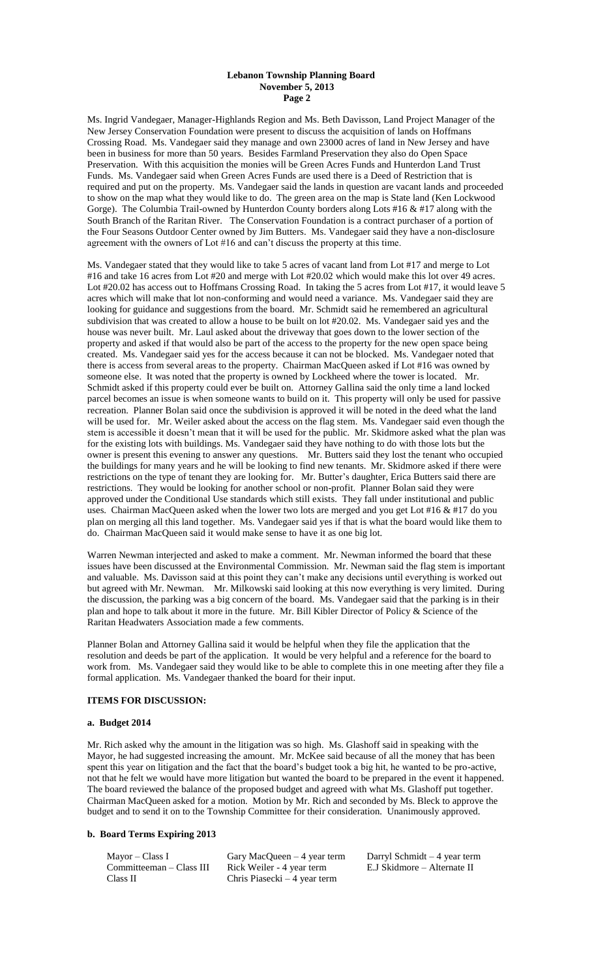### **Lebanon Township Planning Board November 5, 2013 Page 2**

Ms. Ingrid Vandegaer, Manager-Highlands Region and Ms. Beth Davisson, Land Project Manager of the New Jersey Conservation Foundation were present to discuss the acquisition of lands on Hoffmans Crossing Road. Ms. Vandegaer said they manage and own 23000 acres of land in New Jersey and have been in business for more than 50 years. Besides Farmland Preservation they also do Open Space Preservation. With this acquisition the monies will be Green Acres Funds and Hunterdon Land Trust Funds. Ms. Vandegaer said when Green Acres Funds are used there is a Deed of Restriction that is required and put on the property. Ms. Vandegaer said the lands in question are vacant lands and proceeded to show on the map what they would like to do. The green area on the map is State land (Ken Lockwood Gorge). The Columbia Trail-owned by Hunterdon County borders along Lots #16 & #17 along with the South Branch of the Raritan River. The Conservation Foundation is a contract purchaser of a portion of the Four Seasons Outdoor Center owned by Jim Butters. Ms. Vandegaer said they have a non-disclosure agreement with the owners of Lot #16 and can't discuss the property at this time.

Ms. Vandegaer stated that they would like to take 5 acres of vacant land from Lot #17 and merge to Lot #16 and take 16 acres from Lot #20 and merge with Lot #20.02 which would make this lot over 49 acres. Lot #20.02 has access out to Hoffmans Crossing Road. In taking the 5 acres from Lot #17, it would leave 5 acres which will make that lot non-conforming and would need a variance. Ms. Vandegaer said they are looking for guidance and suggestions from the board. Mr. Schmidt said he remembered an agricultural subdivision that was created to allow a house to be built on lot #20.02. Ms. Vandegaer said yes and the house was never built. Mr. Laul asked about the driveway that goes down to the lower section of the property and asked if that would also be part of the access to the property for the new open space being created. Ms. Vandegaer said yes for the access because it can not be blocked. Ms. Vandegaer noted that there is access from several areas to the property. Chairman MacQueen asked if Lot #16 was owned by someone else. It was noted that the property is owned by Lockheed where the tower is located. Mr. Schmidt asked if this property could ever be built on. Attorney Gallina said the only time a land locked parcel becomes an issue is when someone wants to build on it. This property will only be used for passive recreation. Planner Bolan said once the subdivision is approved it will be noted in the deed what the land will be used for. Mr. Weiler asked about the access on the flag stem. Ms. Vandegaer said even though the stem is accessible it doesn't mean that it will be used for the public. Mr. Skidmore asked what the plan was for the existing lots with buildings. Ms. Vandegaer said they have nothing to do with those lots but the owner is present this evening to answer any questions. Mr. Butters said they lost the tenant who occupied the buildings for many years and he will be looking to find new tenants. Mr. Skidmore asked if there were restrictions on the type of tenant they are looking for. Mr. Butter's daughter, Erica Butters said there are restrictions. They would be looking for another school or non-profit. Planner Bolan said they were approved under the Conditional Use standards which still exists. They fall under institutional and public uses. Chairman MacQueen asked when the lower two lots are merged and you get Lot #16 & #17 do you plan on merging all this land together. Ms. Vandegaer said yes if that is what the board would like them to do. Chairman MacQueen said it would make sense to have it as one big lot.

Warren Newman interjected and asked to make a comment. Mr. Newman informed the board that these issues have been discussed at the Environmental Commission. Mr. Newman said the flag stem is important and valuable. Ms. Davisson said at this point they can't make any decisions until everything is worked out but agreed with Mr. Newman. Mr. Milkowski said looking at this now everything is very limited. During the discussion, the parking was a big concern of the board. Ms. Vandegaer said that the parking is in their plan and hope to talk about it more in the future. Mr. Bill Kibler Director of Policy & Science of the Raritan Headwaters Association made a few comments.

Planner Bolan and Attorney Gallina said it would be helpful when they file the application that the resolution and deeds be part of the application. It would be very helpful and a reference for the board to work from. Ms. Vandegaer said they would like to be able to complete this in one meeting after they file a formal application. Ms. Vandegaer thanked the board for their input.

# **ITEMS FOR DISCUSSION:**

#### **a. Budget 2014**

Mr. Rich asked why the amount in the litigation was so high. Ms. Glashoff said in speaking with the Mayor, he had suggested increasing the amount. Mr. McKee said because of all the money that has been spent this year on litigation and the fact that the board's budget took a big hit, he wanted to be pro-active, not that he felt we would have more litigation but wanted the board to be prepared in the event it happened. The board reviewed the balance of the proposed budget and agreed with what Ms. Glashoff put together. Chairman MacQueen asked for a motion. Motion by Mr. Rich and seconded by Ms. Bleck to approve the budget and to send it on to the Township Committee for their consideration. Unanimously approved.

# **b. Board Terms Expiring 2013**

| Mayor – Class I          | Gary MacQueen $-4$ year term  | Darryl Schn |
|--------------------------|-------------------------------|-------------|
| Committeeman – Class III | Rick Weiler - 4 year term     | E.J Skidmor |
| Class II                 | Chris Piasecki $-4$ year term |             |
|                          |                               |             |

 $\text{mid } t - 4 \text{ year term}$ re – Alternate II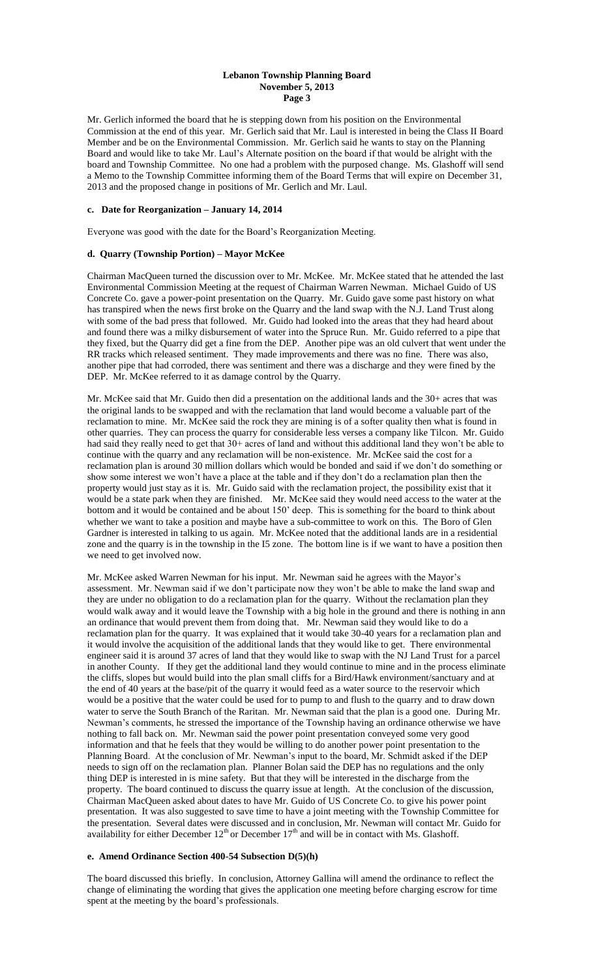# **Lebanon Township Planning Board November 5, 2013 Page 3**

Mr. Gerlich informed the board that he is stepping down from his position on the Environmental Commission at the end of this year. Mr. Gerlich said that Mr. Laul is interested in being the Class II Board Member and be on the Environmental Commission. Mr. Gerlich said he wants to stay on the Planning Board and would like to take Mr. Laul's Alternate position on the board if that would be alright with the board and Township Committee. No one had a problem with the purposed change. Ms. Glashoff will send a Memo to the Township Committee informing them of the Board Terms that will expire on December 31, 2013 and the proposed change in positions of Mr. Gerlich and Mr. Laul.

# **c. Date for Reorganization – January 14, 2014**

Everyone was good with the date for the Board's Reorganization Meeting.

## **d. Quarry (Township Portion) – Mayor McKee**

Chairman MacQueen turned the discussion over to Mr. McKee. Mr. McKee stated that he attended the last Environmental Commission Meeting at the request of Chairman Warren Newman. Michael Guido of US Concrete Co. gave a power-point presentation on the Quarry. Mr. Guido gave some past history on what has transpired when the news first broke on the Quarry and the land swap with the N.J. Land Trust along with some of the bad press that followed. Mr. Guido had looked into the areas that they had heard about and found there was a milky disbursement of water into the Spruce Run. Mr. Guido referred to a pipe that they fixed, but the Quarry did get a fine from the DEP. Another pipe was an old culvert that went under the RR tracks which released sentiment. They made improvements and there was no fine. There was also, another pipe that had corroded, there was sentiment and there was a discharge and they were fined by the DEP. Mr. McKee referred to it as damage control by the Quarry.

Mr. McKee said that Mr. Guido then did a presentation on the additional lands and the 30+ acres that was the original lands to be swapped and with the reclamation that land would become a valuable part of the reclamation to mine. Mr. McKee said the rock they are mining is of a softer quality then what is found in other quarries. They can process the quarry for considerable less verses a company like Tilcon. Mr. Guido had said they really need to get that 30+ acres of land and without this additional land they won't be able to continue with the quarry and any reclamation will be non-existence. Mr. McKee said the cost for a reclamation plan is around 30 million dollars which would be bonded and said if we don't do something or show some interest we won't have a place at the table and if they don't do a reclamation plan then the property would just stay as it is. Mr. Guido said with the reclamation project, the possibility exist that it would be a state park when they are finished. Mr. McKee said they would need access to the water at the bottom and it would be contained and be about 150' deep. This is something for the board to think about whether we want to take a position and maybe have a sub-committee to work on this. The Boro of Glen Gardner is interested in talking to us again. Mr. McKee noted that the additional lands are in a residential zone and the quarry is in the township in the I5 zone. The bottom line is if we want to have a position then we need to get involved now.

Mr. McKee asked Warren Newman for his input. Mr. Newman said he agrees with the Mayor's assessment. Mr. Newman said if we don't participate now they won't be able to make the land swap and they are under no obligation to do a reclamation plan for the quarry. Without the reclamation plan they would walk away and it would leave the Township with a big hole in the ground and there is nothing in ann an ordinance that would prevent them from doing that. Mr. Newman said they would like to do a reclamation plan for the quarry. It was explained that it would take 30-40 years for a reclamation plan and it would involve the acquisition of the additional lands that they would like to get. There environmental engineer said it is around 37 acres of land that they would like to swap with the NJ Land Trust for a parcel in another County. If they get the additional land they would continue to mine and in the process eliminate the cliffs, slopes but would build into the plan small cliffs for a Bird/Hawk environment/sanctuary and at the end of 40 years at the base/pit of the quarry it would feed as a water source to the reservoir which would be a positive that the water could be used for to pump to and flush to the quarry and to draw down water to serve the South Branch of the Raritan. Mr. Newman said that the plan is a good one. During Mr. Newman's comments, he stressed the importance of the Township having an ordinance otherwise we have nothing to fall back on. Mr. Newman said the power point presentation conveyed some very good information and that he feels that they would be willing to do another power point presentation to the Planning Board. At the conclusion of Mr. Newman's input to the board, Mr. Schmidt asked if the DEP needs to sign off on the reclamation plan. Planner Bolan said the DEP has no regulations and the only thing DEP is interested in is mine safety. But that they will be interested in the discharge from the property. The board continued to discuss the quarry issue at length. At the conclusion of the discussion, Chairman MacQueen asked about dates to have Mr. Guido of US Concrete Co. to give his power point presentation. It was also suggested to save time to have a joint meeting with the Township Committee for the presentation. Several dates were discussed and in conclusion, Mr. Newman will contact Mr. Guido for availability for either December  $12<sup>th</sup>$  or December  $17<sup>th</sup>$  and will be in contact with Ms. Glashoff.

#### **e. Amend Ordinance Section 400-54 Subsection D(5)(h)**

The board discussed this briefly. In conclusion, Attorney Gallina will amend the ordinance to reflect the change of eliminating the wording that gives the application one meeting before charging escrow for time spent at the meeting by the board's professionals.